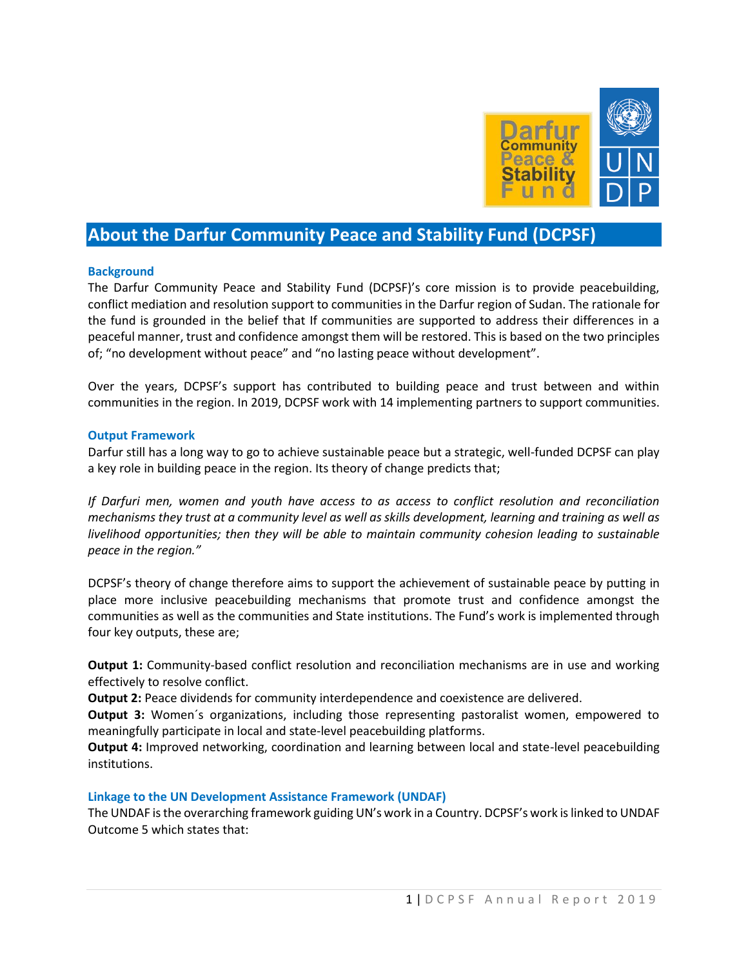

# **About the Darfur Community Peace and Stability Fund (DCPSF)**

#### **Background**

The Darfur Community Peace and Stability Fund (DCPSF)'s core mission is to provide peacebuilding, conflict mediation and resolution support to communities in the Darfur region of Sudan. The rationale for the fund is grounded in the belief that If communities are supported to address their differences in a peaceful manner, trust and confidence amongst them will be restored. This is based on the two principles of; "no development without peace" and "no lasting peace without development".

Over the years, DCPSF's support has contributed to building peace and trust between and within communities in the region. In 2019, DCPSF work with 14 implementing partners to support communities.

#### **Output Framework**

Darfur still has a long way to go to achieve sustainable peace but a strategic, well-funded DCPSF can play a key role in building peace in the region. Its theory of change predicts that;

*If Darfuri men, women and youth have access to as access to conflict resolution and reconciliation mechanisms they trust at a community level as well as skills development, learning and training as well as livelihood opportunities; then they will be able to maintain community cohesion leading to sustainable peace in the region."*

DCPSF's theory of change therefore aims to support the achievement of sustainable peace by putting in place more inclusive peacebuilding mechanisms that promote trust and confidence amongst the communities as well as the communities and State institutions. The Fund's work is implemented through four key outputs, these are;

**Output 1:** Community-based conflict resolution and reconciliation mechanisms are in use and working effectively to resolve conflict.

**Output 2:** Peace dividends for community interdependence and coexistence are delivered.

**Output 3:** Women´s organizations, including those representing pastoralist women, empowered to meaningfully participate in local and state-level peacebuilding platforms.

**Output 4:** Improved networking, coordination and learning between local and state-level peacebuilding institutions.

#### **Linkage to the UN Development Assistance Framework (UNDAF)**

The UNDAF is the overarching framework guiding UN's work in a Country. DCPSF's work is linked to UNDAF Outcome 5 which states that: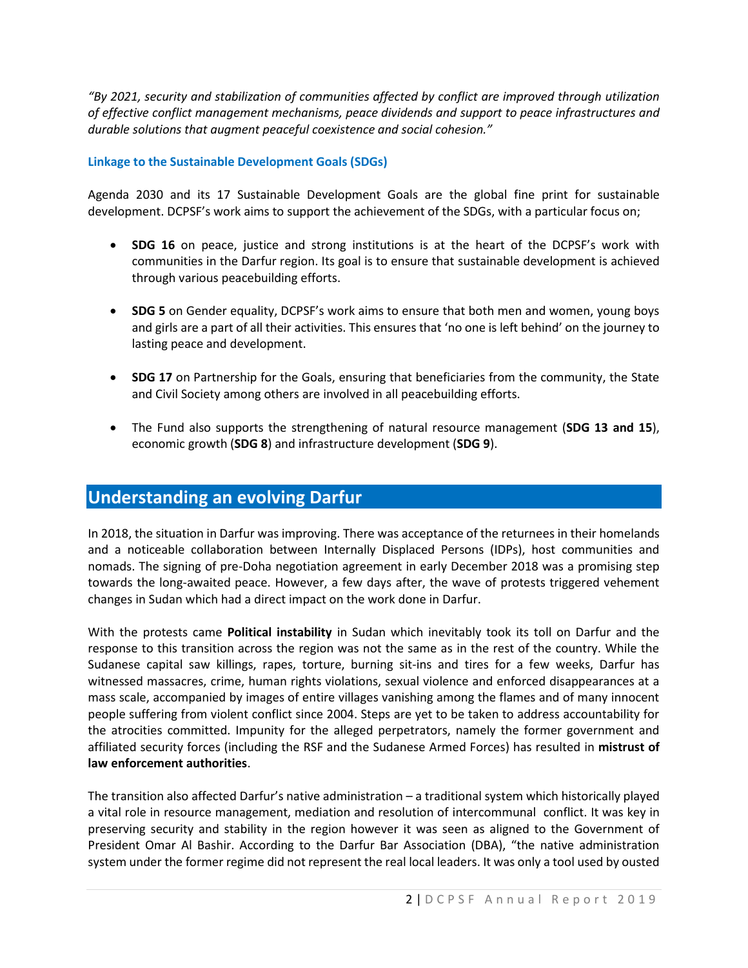*"By 2021, security and stabilization of communities affected by conflict are improved through utilization of effective conflict management mechanisms, peace dividends and support to peace infrastructures and durable solutions that augment peaceful coexistence and social cohesion."*

### **Linkage to the Sustainable Development Goals (SDGs)**

Agenda 2030 and its 17 Sustainable Development Goals are the global fine print for sustainable development. DCPSF's work aims to support the achievement of the SDGs, with a particular focus on;

- **SDG 16** on peace, justice and strong institutions is at the heart of the DCPSF's work with communities in the Darfur region. Its goal is to ensure that sustainable development is achieved through various peacebuilding efforts.
- **SDG 5** on Gender equality, DCPSF's work aims to ensure that both men and women, young boys and girls are a part of all their activities. This ensures that 'no one is left behind' on the journey to lasting peace and development.
- **SDG 17** on Partnership for the Goals, ensuring that beneficiaries from the community, the State and Civil Society among others are involved in all peacebuilding efforts.
- The Fund also supports the strengthening of natural resource management (**SDG 13 and 15**), economic growth (**SDG 8**) and infrastructure development (**SDG 9**).

# **Understanding an evolving Darfur**

In 2018, the situation in Darfur was improving. There was acceptance of the returnees in their homelands and a noticeable collaboration between Internally Displaced Persons (IDPs), host communities and nomads. The signing of pre-Doha negotiation agreement in early December 2018 was a promising step towards the long-awaited peace. However, a few days after, the wave of protests triggered vehement changes in Sudan which had a direct impact on the work done in Darfur.

With the protests came **Political instability** in Sudan which inevitably took its toll on Darfur and the response to this transition across the region was not the same as in the rest of the country. While the Sudanese capital saw killings, rapes, torture, burning sit-ins and tires for a few weeks, Darfur has witnessed massacres, crime, human rights violations, sexual violence and enforced disappearances at a mass scale, accompanied by images of entire villages vanishing among the flames and of many innocent people suffering from violent conflict since 2004. Steps are yet to be taken to address accountability for the atrocities committed. Impunity for the alleged perpetrators, namely the former government and affiliated security forces (including the RSF and the Sudanese Armed Forces) has resulted in **mistrust of law enforcement authorities**.

The transition also affected Darfur's native administration – a traditional system which historically played a vital role in resource management, mediation and resolution of intercommunal conflict. It was key in preserving security and stability in the region however it was seen as aligned to the Government of President Omar Al Bashir. According to the Darfur Bar Association (DBA), "the native administration system under the former regime did not represent the real local leaders. It was only a tool used by ousted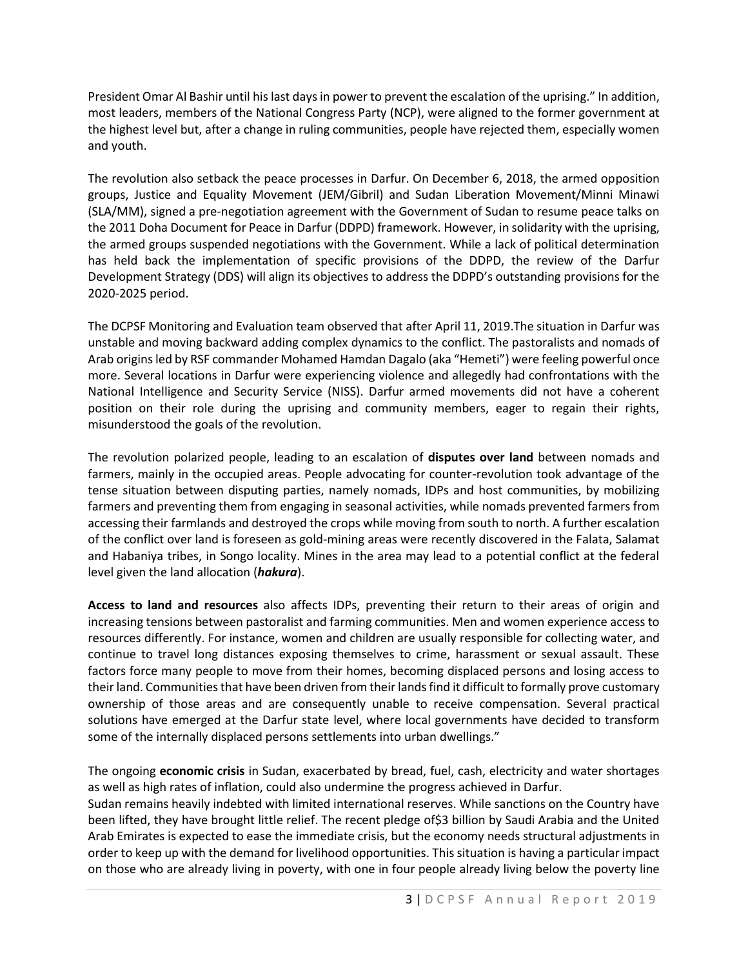President Omar Al Bashir until his last days in power to prevent the escalation of the uprising." In addition, most leaders, members of the National Congress Party (NCP), were aligned to the former government at the highest level but, after a change in ruling communities, people have rejected them, especially women and youth.

The revolution also setback the peace processes in Darfur. On December 6, 2018, the armed opposition groups, Justice and Equality Movement (JEM/Gibril) and Sudan Liberation Movement/Minni Minawi (SLA/MM), signed a pre-negotiation agreement with the Government of Sudan to resume peace talks on the 2011 Doha Document for Peace in Darfur (DDPD) framework. However, in solidarity with the uprising, the armed groups suspended negotiations with the Government. While a lack of political determination has held back the implementation of specific provisions of the DDPD, the review of the Darfur Development Strategy (DDS) will align its objectives to address the DDPD's outstanding provisions for the 2020-2025 period.

The DCPSF Monitoring and Evaluation team observed that after April 11, 2019.The situation in Darfur was unstable and moving backward adding complex dynamics to the conflict. The pastoralists and nomads of Arab origins led by RSF commander Mohamed Hamdan Dagalo (aka "Hemeti") were feeling powerful once more. Several locations in Darfur were experiencing violence and allegedly had confrontations with the National Intelligence and Security Service (NISS). Darfur armed movements did not have a coherent position on their role during the uprising and community members, eager to regain their rights, misunderstood the goals of the revolution.

The revolution polarized people, leading to an escalation of **disputes over land** between nomads and farmers, mainly in the occupied areas. People advocating for counter-revolution took advantage of the tense situation between disputing parties, namely nomads, IDPs and host communities, by mobilizing farmers and preventing them from engaging in seasonal activities, while nomads prevented farmers from accessing their farmlands and destroyed the crops while moving from south to north. A further escalation of the conflict over land is foreseen as gold-mining areas were recently discovered in the Falata, Salamat and Habaniya tribes, in Songo locality. Mines in the area may lead to a potential conflict at the federal level given the land allocation (*hakura*).

**Access to land and resources** also affects IDPs, preventing their return to their areas of origin and increasing tensions between pastoralist and farming communities. Men and women experience access to resources differently. For instance, women and children are usually responsible for collecting water, and continue to travel long distances exposing themselves to crime, harassment or sexual assault. These factors force many people to move from their homes, becoming displaced persons and losing access to their land. Communities that have been driven from their lands find it difficult to formally prove customary ownership of those areas and are consequently unable to receive compensation. Several practical solutions have emerged at the Darfur state level, where local governments have decided to transform some of the internally displaced persons settlements into urban dwellings."

The ongoing **economic crisis** in Sudan, exacerbated by bread, fuel, cash, electricity and water shortages as well as high rates of inflation, could also undermine the progress achieved in Darfur.

Sudan remains heavily indebted with limited international reserves. While sanctions on the Country have been lifted, they have brought little relief. The recent pledge of\$3 billion by Saudi Arabia and the United Arab Emirates is expected to ease the immediate crisis, but the economy needs structural adjustments in order to keep up with the demand for livelihood opportunities. This situation is having a particular impact on those who are already living in poverty, with one in four people already living below the poverty line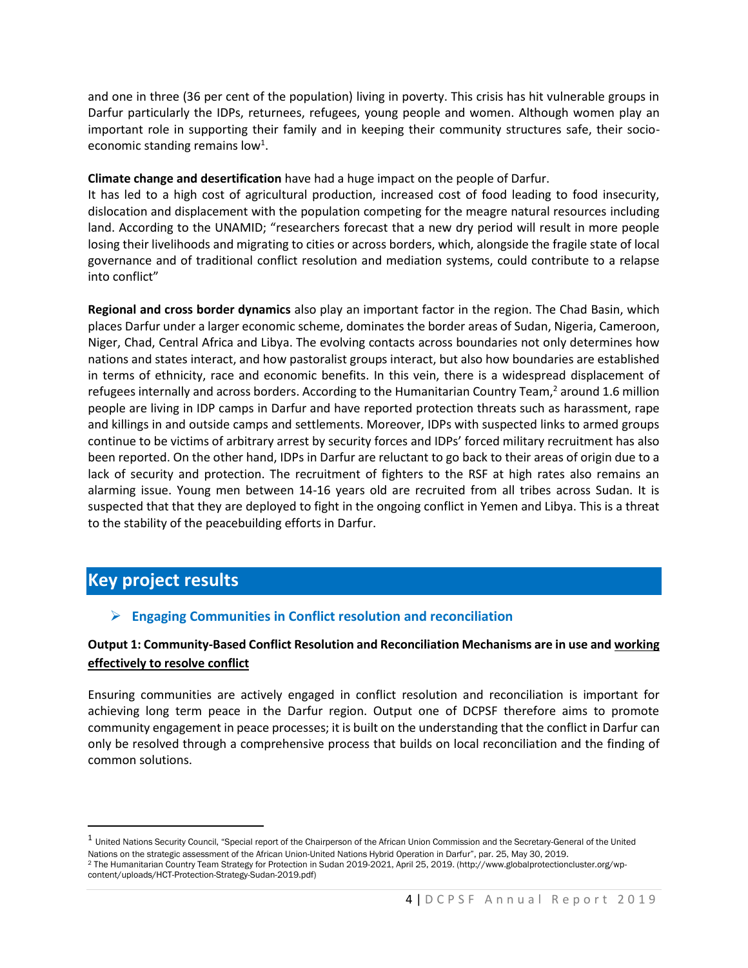and one in three (36 per cent of the population) living in poverty. This crisis has hit vulnerable groups in Darfur particularly the IDPs, returnees, refugees, young people and women. Although women play an important role in supporting their family and in keeping their community structures safe, their socioeconomic standing remains low<sup>1</sup>.

#### **Climate change and desertification** have had a huge impact on the people of Darfur.

It has led to a high cost of agricultural production, increased cost of food leading to food insecurity, dislocation and displacement with the population competing for the meagre natural resources including land. According to the UNAMID; "researchers forecast that a new dry period will result in more people losing their livelihoods and migrating to cities or across borders, which, alongside the fragile state of local governance and of traditional conflict resolution and mediation systems, could contribute to a relapse into conflict"

**Regional and cross border dynamics** also play an important factor in the region. The Chad Basin, which places Darfur under a larger economic scheme, dominates the border areas of Sudan, Nigeria, Cameroon, Niger, Chad, Central Africa and Libya. The evolving contacts across boundaries not only determines how nations and states interact, and how pastoralist groups interact, but also how boundaries are established in terms of ethnicity, race and economic benefits. In this vein, there is a widespread displacement of refugees internally and across borders. According to the Humanitarian Country Team,<sup>2</sup> around 1.6 million people are living in IDP camps in Darfur and have reported protection threats such as harassment, rape and killings in and outside camps and settlements. Moreover, IDPs with suspected links to armed groups continue to be victims of arbitrary arrest by security forces and IDPs' forced military recruitment has also been reported. On the other hand, IDPs in Darfur are reluctant to go back to their areas of origin due to a lack of security and protection. The recruitment of fighters to the RSF at high rates also remains an alarming issue. Young men between 14-16 years old are recruited from all tribes across Sudan. It is suspected that that they are deployed to fight in the ongoing conflict in Yemen and Libya. This is a threat to the stability of the peacebuilding efforts in Darfur.

# **Key project results**

### ➢ **Engaging Communities in Conflict resolution and reconciliation**

### **Output 1: Community-Based Conflict Resolution and Reconciliation Mechanisms are in use and working effectively to resolve conflict**

Ensuring communities are actively engaged in conflict resolution and reconciliation is important for achieving long term peace in the Darfur region. Output one of DCPSF therefore aims to promote community engagement in peace processes; it is built on the understanding that the conflict in Darfur can only be resolved through a comprehensive process that builds on local reconciliation and the finding of common solutions.

 $^1$  United Nations Security Council, "Special report of the Chairperson of the African Union Commission and the Secretary-General of the United Nations on the strategic assessment of the African Union-United Nations Hybrid Operation in Darfur", par. 25, May 30, 2019. <sup>2</sup> The Humanitarian Country Team Strategy for Protection in Sudan 2019-2021, April 25, 2019. (http://www.globalprotectioncluster.org/wpcontent/uploads/HCT-Protection-Strategy-Sudan-2019.pdf)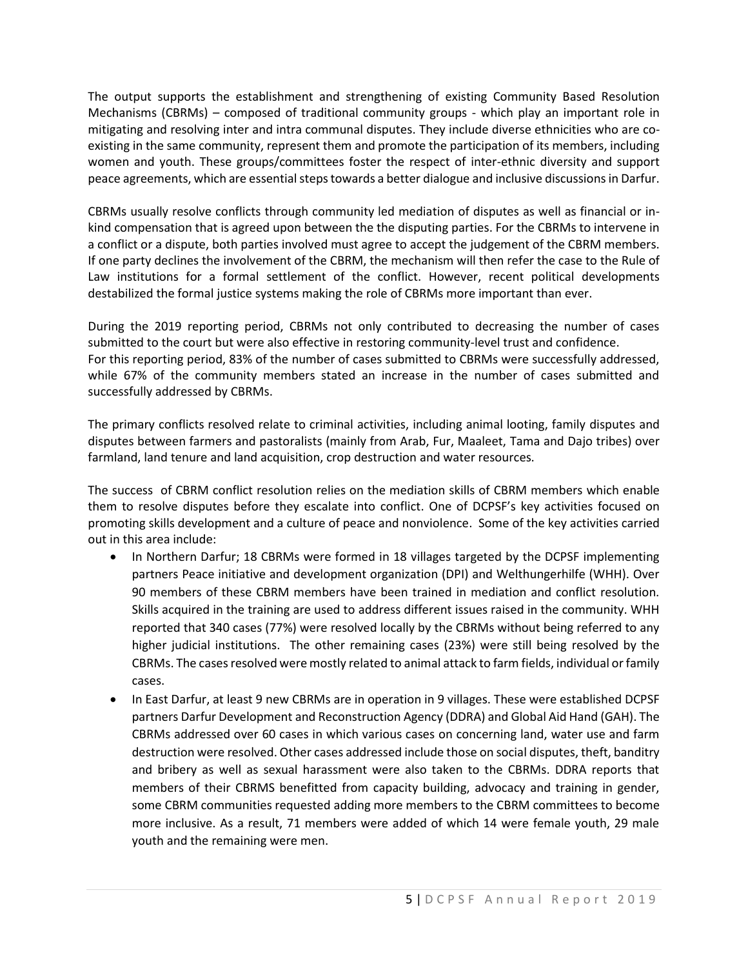The output supports the establishment and strengthening of existing Community Based Resolution Mechanisms (CBRMs) – composed of traditional community groups - which play an important role in mitigating and resolving inter and intra communal disputes. They include diverse ethnicities who are coexisting in the same community, represent them and promote the participation of its members, including women and youth. These groups/committees foster the respect of inter-ethnic diversity and support peace agreements, which are essential steps towards a better dialogue and inclusive discussions in Darfur.

CBRMs usually resolve conflicts through community led mediation of disputes as well as financial or inkind compensation that is agreed upon between the the disputing parties. For the CBRMs to intervene in a conflict or a dispute, both parties involved must agree to accept the judgement of the CBRM members. If one party declines the involvement of the CBRM, the mechanism will then refer the case to the Rule of Law institutions for a formal settlement of the conflict. However, recent political developments destabilized the formal justice systems making the role of CBRMs more important than ever.

During the 2019 reporting period, CBRMs not only contributed to decreasing the number of cases submitted to the court but were also effective in restoring community-level trust and confidence. For this reporting period, 83% of the number of cases submitted to CBRMs were successfully addressed, while 67% of the community members stated an increase in the number of cases submitted and successfully addressed by CBRMs.

The primary conflicts resolved relate to criminal activities, including animal looting, family disputes and disputes between farmers and pastoralists (mainly from Arab, Fur, Maaleet, Tama and Dajo tribes) over farmland, land tenure and land acquisition, crop destruction and water resources.

The success of CBRM conflict resolution relies on the mediation skills of CBRM members which enable them to resolve disputes before they escalate into conflict. One of DCPSF's key activities focused on promoting skills development and a culture of peace and nonviolence. Some of the key activities carried out in this area include:

- In Northern Darfur; 18 CBRMs were formed in 18 villages targeted by the DCPSF implementing partners Peace initiative and development organization (DPI) and Welthungerhilfe (WHH). Over 90 members of these CBRM members have been trained in mediation and conflict resolution. Skills acquired in the training are used to address different issues raised in the community. WHH reported that 340 cases (77%) were resolved locally by the CBRMs without being referred to any higher judicial institutions. The other remaining cases (23%) were still being resolved by the CBRMs. The cases resolved were mostly related to animal attack to farm fields, individual or family cases.
- In East Darfur, at least 9 new CBRMs are in operation in 9 villages. These were established DCPSF partners Darfur Development and Reconstruction Agency (DDRA) and Global Aid Hand (GAH). The CBRMs addressed over 60 cases in which various cases on concerning land, water use and farm destruction were resolved. Other cases addressed include those on social disputes, theft, banditry and bribery as well as sexual harassment were also taken to the CBRMs. DDRA reports that members of their CBRMS benefitted from capacity building, advocacy and training in gender, some CBRM communities requested adding more members to the CBRM committees to become more inclusive. As a result, 71 members were added of which 14 were female youth, 29 male youth and the remaining were men.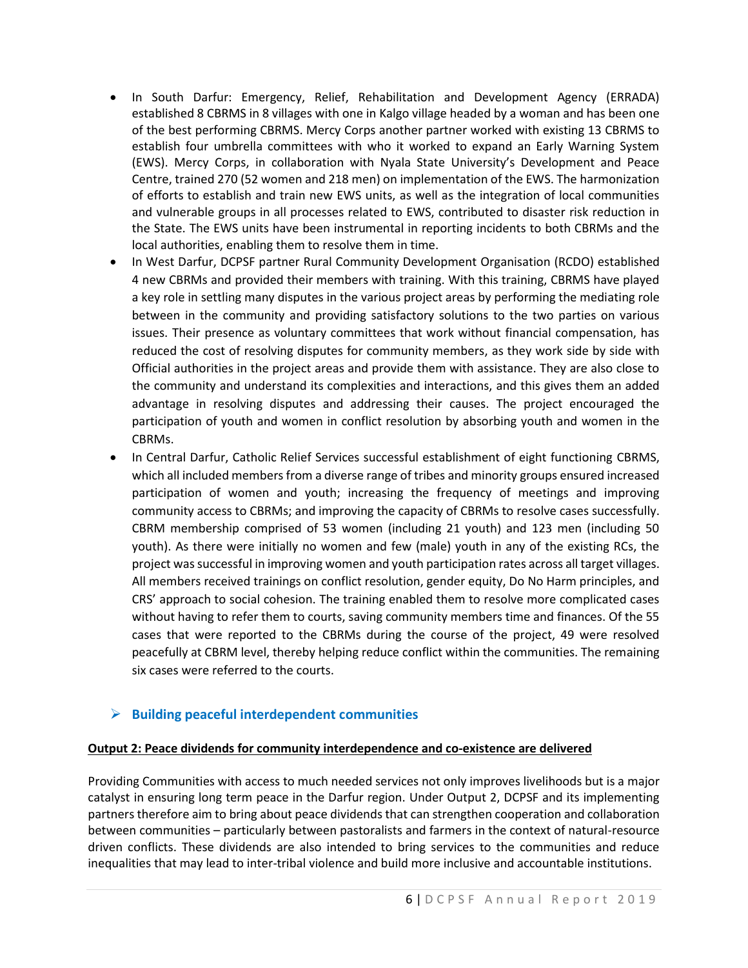- In South Darfur: Emergency, Relief, Rehabilitation and Development Agency (ERRADA) established 8 CBRMS in 8 villages with one in Kalgo village headed by a woman and has been one of the best performing CBRMS. Mercy Corps another partner worked with existing 13 CBRMS to establish four umbrella committees with who it worked to expand an Early Warning System (EWS). Mercy Corps, in collaboration with Nyala State University's Development and Peace Centre, trained 270 (52 women and 218 men) on implementation of the EWS. The harmonization of efforts to establish and train new EWS units, as well as the integration of local communities and vulnerable groups in all processes related to EWS, contributed to disaster risk reduction in the State. The EWS units have been instrumental in reporting incidents to both CBRMs and the local authorities, enabling them to resolve them in time.
- In West Darfur, DCPSF partner Rural Community Development Organisation (RCDO) established 4 new CBRMs and provided their members with training. With this training, CBRMS have played a key role in settling many disputes in the various project areas by performing the mediating role between in the community and providing satisfactory solutions to the two parties on various issues. Their presence as voluntary committees that work without financial compensation, has reduced the cost of resolving disputes for community members, as they work side by side with Official authorities in the project areas and provide them with assistance. They are also close to the community and understand its complexities and interactions, and this gives them an added advantage in resolving disputes and addressing their causes. The project encouraged the participation of youth and women in conflict resolution by absorbing youth and women in the CBRMs.
- In Central Darfur, Catholic Relief Services successful establishment of eight functioning CBRMS, which all included members from a diverse range of tribes and minority groups ensured increased participation of women and youth; increasing the frequency of meetings and improving community access to CBRMs; and improving the capacity of CBRMs to resolve cases successfully. CBRM membership comprised of 53 women (including 21 youth) and 123 men (including 50 youth). As there were initially no women and few (male) youth in any of the existing RCs, the project was successful in improving women and youth participation rates across all target villages. All members received trainings on conflict resolution, gender equity, Do No Harm principles, and CRS' approach to social cohesion. The training enabled them to resolve more complicated cases without having to refer them to courts, saving community members time and finances. Of the 55 cases that were reported to the CBRMs during the course of the project, 49 were resolved peacefully at CBRM level, thereby helping reduce conflict within the communities. The remaining six cases were referred to the courts.

### ➢ **Building peaceful interdependent communities**

#### **Output 2: Peace dividends for community interdependence and co-existence are delivered**

Providing Communities with access to much needed services not only improves livelihoods but is a major catalyst in ensuring long term peace in the Darfur region. Under Output 2, DCPSF and its implementing partners therefore aim to bring about peace dividends that can strengthen cooperation and collaboration between communities – particularly between pastoralists and farmers in the context of natural-resource driven conflicts. These dividends are also intended to bring services to the communities and reduce inequalities that may lead to inter-tribal violence and build more inclusive and accountable institutions.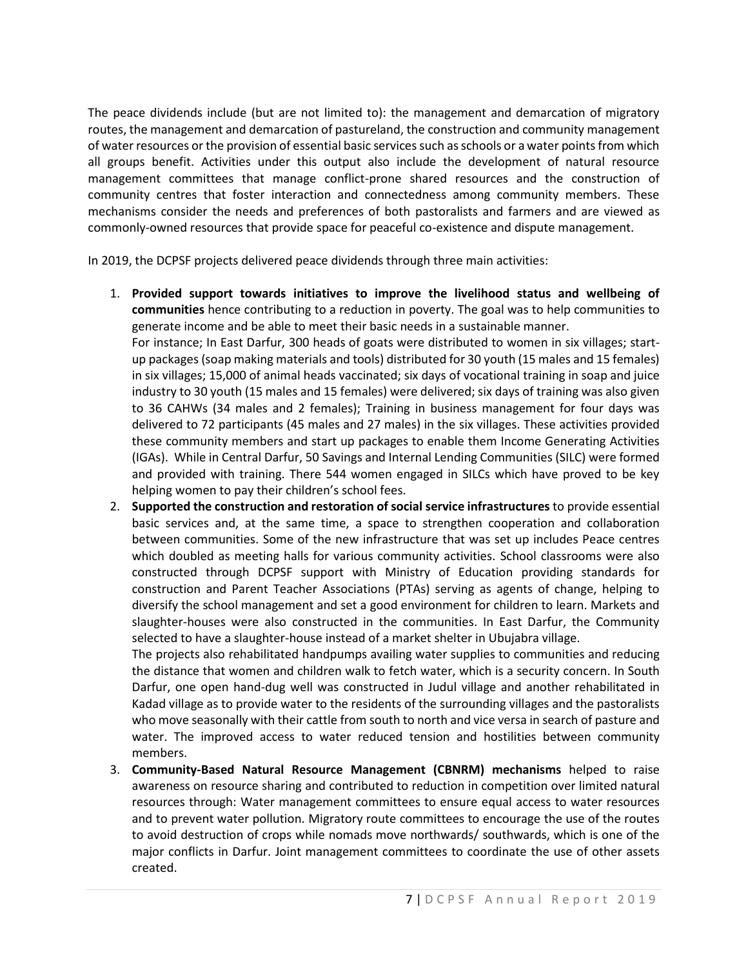The peace dividends include (but are not limited to): the management and demarcation of migratory routes, the management and demarcation of pastureland, the construction and community management of water resources or the provision of essential basic services such as schools or a water points from which all groups benefit. Activities under this output also include the development of natural resource management committees that manage conflict-prone shared resources and the construction of community centres that foster interaction and connectedness among community members. These mechanisms consider the needs and preferences of both pastoralists and farmers and are viewed as commonly-owned resources that provide space for peaceful co-existence and dispute management.

In 2019, the DCPSF projects delivered peace dividends through three main activities:

1. **Provided support towards initiatives to improve the livelihood status and wellbeing of communities** hence contributing to a reduction in poverty. The goal was to help communities to generate income and be able to meet their basic needs in a sustainable manner.

For instance; In East Darfur, 300 heads of goats were distributed to women in six villages; startup packages (soap making materials and tools) distributed for 30 youth (15 males and 15 females) in six villages; 15,000 of animal heads vaccinated; six days of vocational training in soap and juice industry to 30 youth (15 males and 15 females) were delivered; six days of training was also given to 36 CAHWs (34 males and 2 females); Training in business management for four days was delivered to 72 participants (45 males and 27 males) in the six villages. These activities provided these community members and start up packages to enable them Income Generating Activities (IGAs). While in Central Darfur, 50 Savings and Internal Lending Communities (SILC) were formed and provided with training. There 544 women engaged in SILCs which have proved to be key helping women to pay their children's school fees.

2. **Supported the construction and restoration of social service infrastructures** to provide essential basic services and, at the same time, a space to strengthen cooperation and collaboration between communities. Some of the new infrastructure that was set up includes Peace centres which doubled as meeting halls for various community activities. School classrooms were also constructed through DCPSF support with Ministry of Education providing standards for construction and Parent Teacher Associations (PTAs) serving as agents of change, helping to diversify the school management and set a good environment for children to learn. Markets and slaughter-houses were also constructed in the communities. In East Darfur, the Community selected to have a slaughter-house instead of a market shelter in Ubujabra village.

The projects also rehabilitated handpumps availing water supplies to communities and reducing the distance that women and children walk to fetch water, which is a security concern. In South Darfur, one open hand-dug well was constructed in Judul village and another rehabilitated in Kadad village as to provide water to the residents of the surrounding villages and the pastoralists who move seasonally with their cattle from south to north and vice versa in search of pasture and water. The improved access to water reduced tension and hostilities between community members.

3. **Community-Based Natural Resource Management (CBNRM) mechanisms** helped to raise awareness on resource sharing and contributed to reduction in competition over limited natural resources through: Water management committees to ensure equal access to water resources and to prevent water pollution. Migratory route committees to encourage the use of the routes to avoid destruction of crops while nomads move northwards/ southwards, which is one of the major conflicts in Darfur. Joint management committees to coordinate the use of other assets created.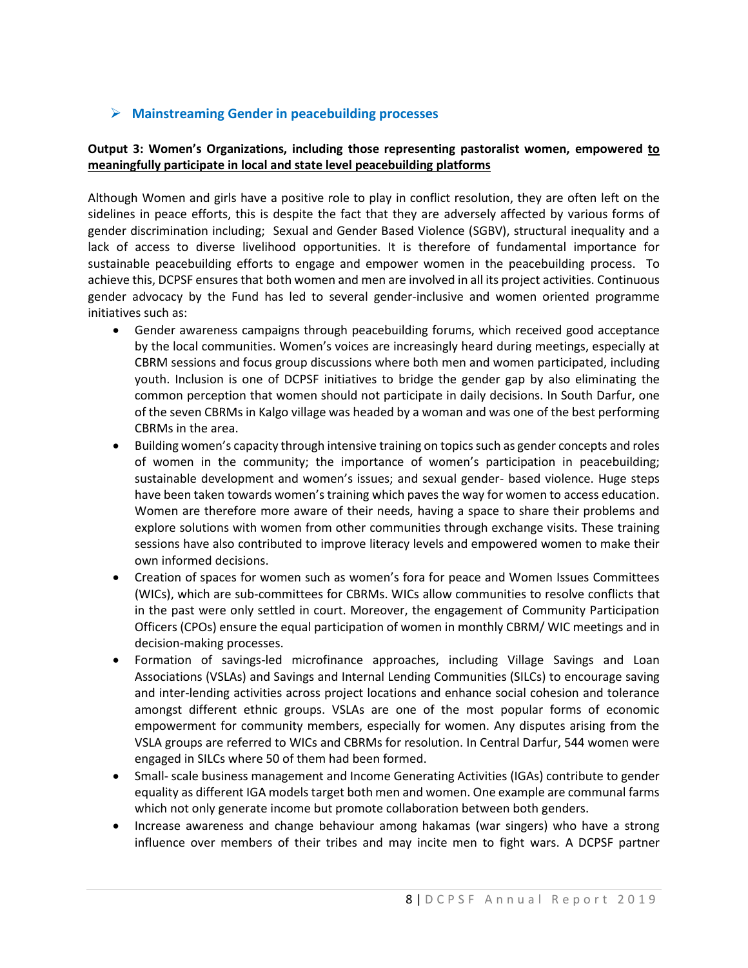### ➢ **Mainstreaming Gender in peacebuilding processes**

### **Output 3: Women's Organizations, including those representing pastoralist women, empowered to meaningfully participate in local and state level peacebuilding platforms**

Although Women and girls have a positive role to play in conflict resolution, they are often left on the sidelines in peace efforts, this is despite the fact that they are adversely affected by various forms of gender discrimination including; Sexual and Gender Based Violence (SGBV), structural inequality and a lack of access to diverse livelihood opportunities. It is therefore of fundamental importance for sustainable peacebuilding efforts to engage and empower women in the peacebuilding process. To achieve this, DCPSF ensures that both women and men are involved in all its project activities. Continuous gender advocacy by the Fund has led to several gender-inclusive and women oriented programme initiatives such as:

- Gender awareness campaigns through peacebuilding forums, which received good acceptance by the local communities. Women's voices are increasingly heard during meetings, especially at CBRM sessions and focus group discussions where both men and women participated, including youth. Inclusion is one of DCPSF initiatives to bridge the gender gap by also eliminating the common perception that women should not participate in daily decisions. In South Darfur, one of the seven CBRMs in Kalgo village was headed by a woman and was one of the best performing CBRMs in the area.
- Building women's capacity through intensive training on topics such as gender concepts and roles of women in the community; the importance of women's participation in peacebuilding; sustainable development and women's issues; and sexual gender- based violence. Huge steps have been taken towards women's training which paves the way for women to access education. Women are therefore more aware of their needs, having a space to share their problems and explore solutions with women from other communities through exchange visits. These training sessions have also contributed to improve literacy levels and empowered women to make their own informed decisions.
- Creation of spaces for women such as women's fora for peace and Women Issues Committees (WICs), which are sub-committees for CBRMs. WICs allow communities to resolve conflicts that in the past were only settled in court. Moreover, the engagement of Community Participation Officers (CPOs) ensure the equal participation of women in monthly CBRM/ WIC meetings and in decision-making processes.
- Formation of savings-led microfinance approaches, including Village Savings and Loan Associations (VSLAs) and Savings and Internal Lending Communities (SILCs) to encourage saving and inter-lending activities across project locations and enhance social cohesion and tolerance amongst different ethnic groups. VSLAs are one of the most popular forms of economic empowerment for community members, especially for women. Any disputes arising from the VSLA groups are referred to WICs and CBRMs for resolution. In Central Darfur, 544 women were engaged in SILCs where 50 of them had been formed.
- Small- scale business management and Income Generating Activities (IGAs) contribute to gender equality as different IGA models target both men and women. One example are communal farms which not only generate income but promote collaboration between both genders.
- Increase awareness and change behaviour among hakamas (war singers) who have a strong influence over members of their tribes and may incite men to fight wars. A DCPSF partner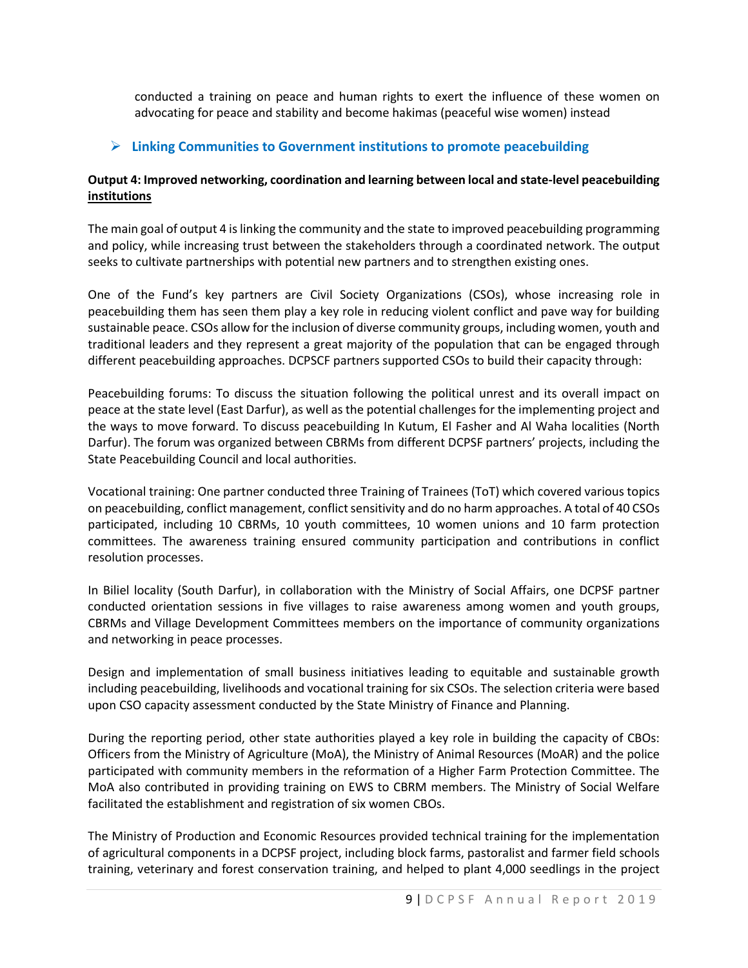conducted a training on peace and human rights to exert the influence of these women on advocating for peace and stability and become hakimas (peaceful wise women) instead

### ➢ **Linking Communities to Government institutions to promote peacebuilding**

### **Output 4: Improved networking, coordination and learning between local and state-level peacebuilding institutions**

The main goal of output 4 is linking the community and the state to improved peacebuilding programming and policy, while increasing trust between the stakeholders through a coordinated network. The output seeks to cultivate partnerships with potential new partners and to strengthen existing ones.

One of the Fund's key partners are Civil Society Organizations (CSOs), whose increasing role in peacebuilding them has seen them play a key role in reducing violent conflict and pave way for building sustainable peace. CSOs allow for the inclusion of diverse community groups, including women, youth and traditional leaders and they represent a great majority of the population that can be engaged through different peacebuilding approaches. DCPSCF partners supported CSOs to build their capacity through:

Peacebuilding forums: To discuss the situation following the political unrest and its overall impact on peace at the state level (East Darfur), as well as the potential challenges for the implementing project and the ways to move forward. To discuss peacebuilding In Kutum, El Fasher and Al Waha localities (North Darfur). The forum was organized between CBRMs from different DCPSF partners' projects, including the State Peacebuilding Council and local authorities.

Vocational training: One partner conducted three Training of Trainees (ToT) which covered various topics on peacebuilding, conflict management, conflict sensitivity and do no harm approaches. A total of 40 CSOs participated, including 10 CBRMs, 10 youth committees, 10 women unions and 10 farm protection committees. The awareness training ensured community participation and contributions in conflict resolution processes.

In Biliel locality (South Darfur), in collaboration with the Ministry of Social Affairs, one DCPSF partner conducted orientation sessions in five villages to raise awareness among women and youth groups, CBRMs and Village Development Committees members on the importance of community organizations and networking in peace processes.

Design and implementation of small business initiatives leading to equitable and sustainable growth including peacebuilding, livelihoods and vocational training for six CSOs. The selection criteria were based upon CSO capacity assessment conducted by the State Ministry of Finance and Planning.

During the reporting period, other state authorities played a key role in building the capacity of CBOs: Officers from the Ministry of Agriculture (MoA), the Ministry of Animal Resources (MoAR) and the police participated with community members in the reformation of a Higher Farm Protection Committee. The MoA also contributed in providing training on EWS to CBRM members. The Ministry of Social Welfare facilitated the establishment and registration of six women CBOs.

The Ministry of Production and Economic Resources provided technical training for the implementation of agricultural components in a DCPSF project, including block farms, pastoralist and farmer field schools training, veterinary and forest conservation training, and helped to plant 4,000 seedlings in the project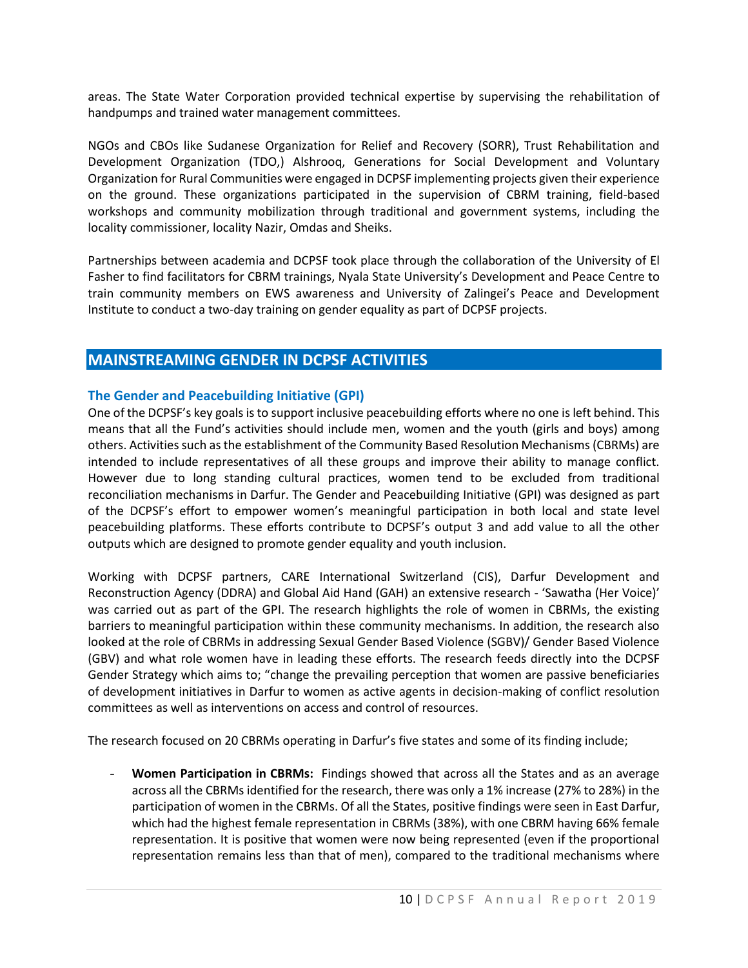areas. The State Water Corporation provided technical expertise by supervising the rehabilitation of handpumps and trained water management committees.

NGOs and CBOs like Sudanese Organization for Relief and Recovery (SORR), Trust Rehabilitation and Development Organization (TDO,) Alshrooq, Generations for Social Development and Voluntary Organization for Rural Communities were engaged in DCPSF implementing projects given their experience on the ground. These organizations participated in the supervision of CBRM training, field-based workshops and community mobilization through traditional and government systems, including the locality commissioner, locality Nazir, Omdas and Sheiks.

Partnerships between academia and DCPSF took place through the collaboration of the University of El Fasher to find facilitators for CBRM trainings, Nyala State University's Development and Peace Centre to train community members on EWS awareness and University of Zalingei's Peace and Development Institute to conduct a two-day training on gender equality as part of DCPSF projects.

### **MAINSTREAMING GENDER IN DCPSF ACTIVITIES**

#### **The Gender and Peacebuilding Initiative (GPI)**

One of the DCPSF's key goals is to support inclusive peacebuilding efforts where no one is left behind. This means that all the Fund's activities should include men, women and the youth (girls and boys) among others. Activities such as the establishment of the Community Based Resolution Mechanisms (CBRMs) are intended to include representatives of all these groups and improve their ability to manage conflict. However due to long standing cultural practices, women tend to be excluded from traditional reconciliation mechanisms in Darfur. The Gender and Peacebuilding Initiative (GPI) was designed as part of the DCPSF's effort to empower women's meaningful participation in both local and state level peacebuilding platforms. These efforts contribute to DCPSF's output 3 and add value to all the other outputs which are designed to promote gender equality and youth inclusion.

Working with DCPSF partners, CARE International Switzerland (CIS), Darfur Development and Reconstruction Agency (DDRA) and Global Aid Hand (GAH) an extensive research - 'Sawatha (Her Voice)' was carried out as part of the GPI. The research highlights the role of women in CBRMs, the existing barriers to meaningful participation within these community mechanisms. In addition, the research also looked at the role of CBRMs in addressing Sexual Gender Based Violence (SGBV)/ Gender Based Violence (GBV) and what role women have in leading these efforts. The research feeds directly into the DCPSF Gender Strategy which aims to; "change the prevailing perception that women are passive beneficiaries of development initiatives in Darfur to women as active agents in decision-making of conflict resolution committees as well as interventions on access and control of resources.

The research focused on 20 CBRMs operating in Darfur's five states and some of its finding include;

- **Women Participation in CBRMs:** Findings showed that across all the States and as an average across all the CBRMs identified for the research, there was only a 1% increase (27% to 28%) in the participation of women in the CBRMs. Of all the States, positive findings were seen in East Darfur, which had the highest female representation in CBRMs (38%), with one CBRM having 66% female representation. It is positive that women were now being represented (even if the proportional representation remains less than that of men), compared to the traditional mechanisms where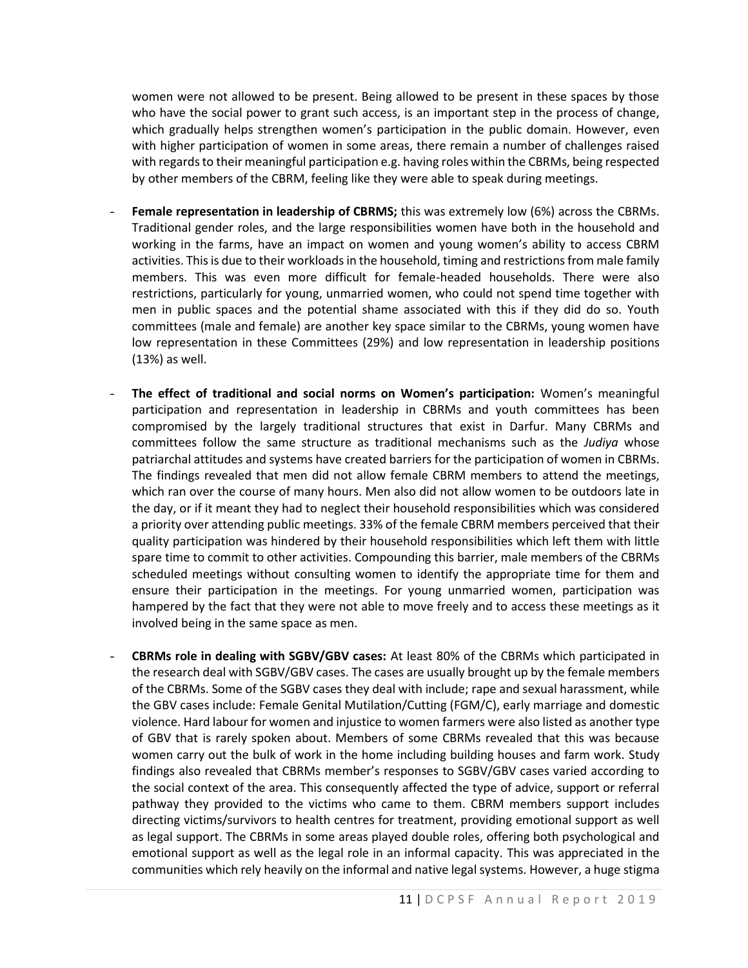women were not allowed to be present. Being allowed to be present in these spaces by those who have the social power to grant such access, is an important step in the process of change, which gradually helps strengthen women's participation in the public domain. However, even with higher participation of women in some areas, there remain a number of challenges raised with regards to their meaningful participation e.g. having roles within the CBRMs, being respected by other members of the CBRM, feeling like they were able to speak during meetings.

- **Female representation in leadership of CBRMS;** this was extremely low (6%) across the CBRMs. Traditional gender roles, and the large responsibilities women have both in the household and working in the farms, have an impact on women and young women's ability to access CBRM activities. This is due to their workloads in the household, timing and restrictions from male family members. This was even more difficult for female-headed households. There were also restrictions, particularly for young, unmarried women, who could not spend time together with men in public spaces and the potential shame associated with this if they did do so. Youth committees (male and female) are another key space similar to the CBRMs, young women have low representation in these Committees (29%) and low representation in leadership positions (13%) as well.
- **The effect of traditional and social norms on Women's participation:** Women's meaningful participation and representation in leadership in CBRMs and youth committees has been compromised by the largely traditional structures that exist in Darfur. Many CBRMs and committees follow the same structure as traditional mechanisms such as the *Judiya* whose patriarchal attitudes and systems have created barriers for the participation of women in CBRMs. The findings revealed that men did not allow female CBRM members to attend the meetings, which ran over the course of many hours. Men also did not allow women to be outdoors late in the day, or if it meant they had to neglect their household responsibilities which was considered a priority over attending public meetings. 33% of the female CBRM members perceived that their quality participation was hindered by their household responsibilities which left them with little spare time to commit to other activities. Compounding this barrier, male members of the CBRMs scheduled meetings without consulting women to identify the appropriate time for them and ensure their participation in the meetings. For young unmarried women, participation was hampered by the fact that they were not able to move freely and to access these meetings as it involved being in the same space as men.
- **CBRMs role in dealing with SGBV/GBV cases:** At least 80% of the CBRMs which participated in the research deal with SGBV/GBV cases. The cases are usually brought up by the female members of the CBRMs. Some of the SGBV cases they deal with include; rape and sexual harassment, while the GBV cases include: Female Genital Mutilation/Cutting (FGM/C), early marriage and domestic violence. Hard labour for women and injustice to women farmers were also listed as another type of GBV that is rarely spoken about. Members of some CBRMs revealed that this was because women carry out the bulk of work in the home including building houses and farm work. Study findings also revealed that CBRMs member's responses to SGBV/GBV cases varied according to the social context of the area. This consequently affected the type of advice, support or referral pathway they provided to the victims who came to them. CBRM members support includes directing victims/survivors to health centres for treatment, providing emotional support as well as legal support. The CBRMs in some areas played double roles, offering both psychological and emotional support as well as the legal role in an informal capacity. This was appreciated in the communities which rely heavily on the informal and native legal systems. However, a huge stigma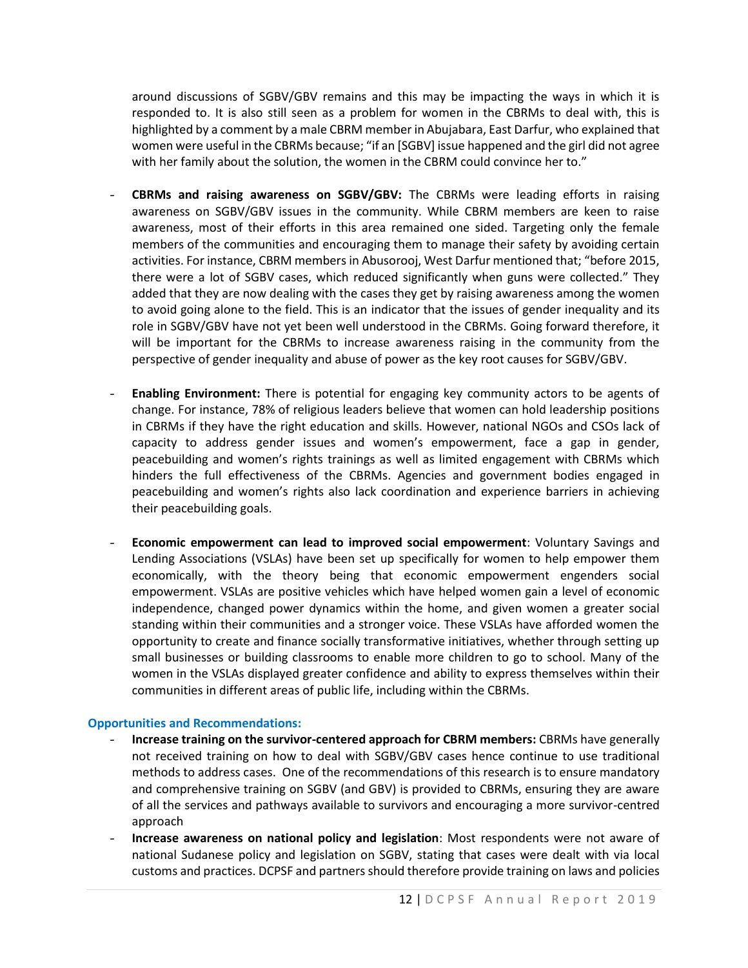around discussions of SGBV/GBV remains and this may be impacting the ways in which it is responded to. It is also still seen as a problem for women in the CBRMs to deal with, this is highlighted by a comment by a male CBRM member in Abujabara, East Darfur, who explained that women were useful in the CBRMs because; "if an [SGBV] issue happened and the girl did not agree with her family about the solution, the women in the CBRM could convince her to."

- **CBRMs and raising awareness on SGBV/GBV:** The CBRMs were leading efforts in raising awareness on SGBV/GBV issues in the community. While CBRM members are keen to raise awareness, most of their efforts in this area remained one sided. Targeting only the female members of the communities and encouraging them to manage their safety by avoiding certain activities. For instance, CBRM members in Abusorooj, West Darfur mentioned that; "before 2015, there were a lot of SGBV cases, which reduced significantly when guns were collected." They added that they are now dealing with the cases they get by raising awareness among the women to avoid going alone to the field. This is an indicator that the issues of gender inequality and its role in SGBV/GBV have not yet been well understood in the CBRMs. Going forward therefore, it will be important for the CBRMs to increase awareness raising in the community from the perspective of gender inequality and abuse of power as the key root causes for SGBV/GBV.
- **Enabling Environment:** There is potential for engaging key community actors to be agents of change. For instance, 78% of religious leaders believe that women can hold leadership positions in CBRMs if they have the right education and skills. However, national NGOs and CSOs lack of capacity to address gender issues and women's empowerment, face a gap in gender, peacebuilding and women's rights trainings as well as limited engagement with CBRMs which hinders the full effectiveness of the CBRMs. Agencies and government bodies engaged in peacebuilding and women's rights also lack coordination and experience barriers in achieving their peacebuilding goals.
- **Economic empowerment can lead to improved social empowerment**: Voluntary Savings and Lending Associations (VSLAs) have been set up specifically for women to help empower them economically, with the theory being that economic empowerment engenders social empowerment. VSLAs are positive vehicles which have helped women gain a level of economic independence, changed power dynamics within the home, and given women a greater social standing within their communities and a stronger voice. These VSLAs have afforded women the opportunity to create and finance socially transformative initiatives, whether through setting up small businesses or building classrooms to enable more children to go to school. Many of the women in the VSLAs displayed greater confidence and ability to express themselves within their communities in different areas of public life, including within the CBRMs.

#### **Opportunities and Recommendations:**

- **Increase training on the survivor-centered approach for CBRM members:** CBRMs have generally not received training on how to deal with SGBV/GBV cases hence continue to use traditional methods to address cases. One of the recommendations of this research is to ensure mandatory and comprehensive training on SGBV (and GBV) is provided to CBRMs, ensuring they are aware of all the services and pathways available to survivors and encouraging a more survivor-centred approach
- **Increase awareness on national policy and legislation**: Most respondents were not aware of national Sudanese policy and legislation on SGBV, stating that cases were dealt with via local customs and practices. DCPSF and partners should therefore provide training on laws and policies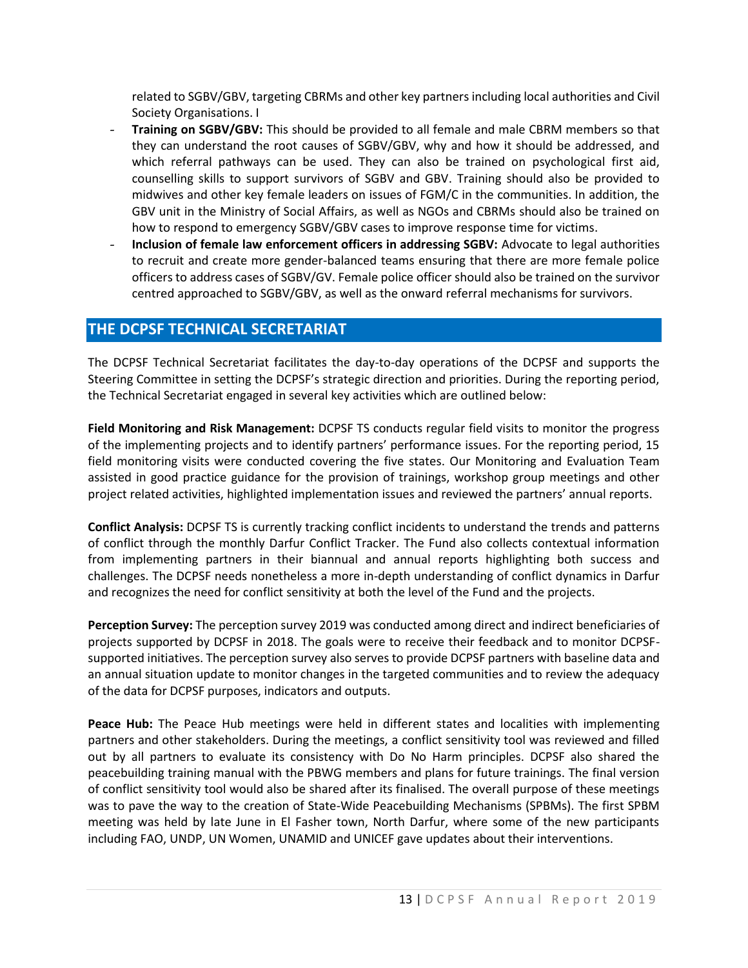related to SGBV/GBV, targeting CBRMs and other key partners including local authorities and Civil Society Organisations. I

- **Training on SGBV/GBV:** This should be provided to all female and male CBRM members so that they can understand the root causes of SGBV/GBV, why and how it should be addressed, and which referral pathways can be used. They can also be trained on psychological first aid, counselling skills to support survivors of SGBV and GBV. Training should also be provided to midwives and other key female leaders on issues of FGM/C in the communities. In addition, the GBV unit in the Ministry of Social Affairs, as well as NGOs and CBRMs should also be trained on how to respond to emergency SGBV/GBV cases to improve response time for victims.
- **Inclusion of female law enforcement officers in addressing SGBV:** Advocate to legal authorities to recruit and create more gender-balanced teams ensuring that there are more female police officers to address cases of SGBV/GV. Female police officer should also be trained on the survivor centred approached to SGBV/GBV, as well as the onward referral mechanisms for survivors.

### **THE DCPSF TECHNICAL SECRETARIAT**

The DCPSF Technical Secretariat facilitates the day-to-day operations of the DCPSF and supports the Steering Committee in setting the DCPSF's strategic direction and priorities. During the reporting period, the Technical Secretariat engaged in several key activities which are outlined below:

**Field Monitoring and Risk Management:** DCPSF TS conducts regular field visits to monitor the progress of the implementing projects and to identify partners' performance issues. For the reporting period, 15 field monitoring visits were conducted covering the five states. Our Monitoring and Evaluation Team assisted in good practice guidance for the provision of trainings, workshop group meetings and other project related activities, highlighted implementation issues and reviewed the partners' annual reports.

**Conflict Analysis:** DCPSF TS is currently tracking conflict incidents to understand the trends and patterns of conflict through the monthly Darfur Conflict Tracker. The Fund also collects contextual information from implementing partners in their biannual and annual reports highlighting both success and challenges. The DCPSF needs nonetheless a more in-depth understanding of conflict dynamics in Darfur and recognizes the need for conflict sensitivity at both the level of the Fund and the projects.

**Perception Survey:** The perception survey 2019 was conducted among direct and indirect beneficiaries of projects supported by DCPSF in 2018. The goals were to receive their feedback and to monitor DCPSFsupported initiatives. The perception survey also serves to provide DCPSF partners with baseline data and an annual situation update to monitor changes in the targeted communities and to review the adequacy of the data for DCPSF purposes, indicators and outputs.

**Peace Hub:** The Peace Hub meetings were held in different states and localities with implementing partners and other stakeholders. During the meetings, a conflict sensitivity tool was reviewed and filled out by all partners to evaluate its consistency with Do No Harm principles. DCPSF also shared the peacebuilding training manual with the PBWG members and plans for future trainings. The final version of conflict sensitivity tool would also be shared after its finalised. The overall purpose of these meetings was to pave the way to the creation of State-Wide Peacebuilding Mechanisms (SPBMs). The first SPBM meeting was held by late June in El Fasher town, North Darfur, where some of the new participants including FAO, UNDP, UN Women, UNAMID and UNICEF gave updates about their interventions.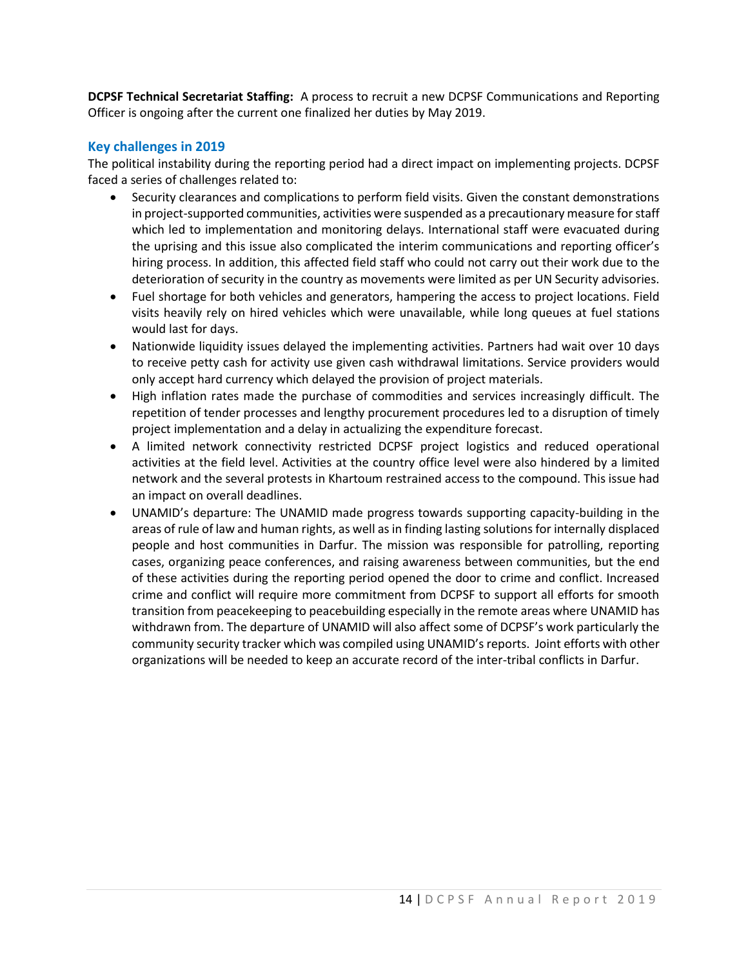**DCPSF Technical Secretariat Staffing:** A process to recruit a new DCPSF Communications and Reporting Officer is ongoing after the current one finalized her duties by May 2019.

### **Key challenges in 2019**

The political instability during the reporting period had a direct impact on implementing projects. DCPSF faced a series of challenges related to:

- Security clearances and complications to perform field visits. Given the constant demonstrations in project-supported communities, activities were suspended as a precautionary measure for staff which led to implementation and monitoring delays. International staff were evacuated during the uprising and this issue also complicated the interim communications and reporting officer's hiring process. In addition, this affected field staff who could not carry out their work due to the deterioration of security in the country as movements were limited as per UN Security advisories.
- Fuel shortage for both vehicles and generators, hampering the access to project locations. Field visits heavily rely on hired vehicles which were unavailable, while long queues at fuel stations would last for days.
- Nationwide liquidity issues delayed the implementing activities. Partners had wait over 10 days to receive petty cash for activity use given cash withdrawal limitations. Service providers would only accept hard currency which delayed the provision of project materials.
- High inflation rates made the purchase of commodities and services increasingly difficult. The repetition of tender processes and lengthy procurement procedures led to a disruption of timely project implementation and a delay in actualizing the expenditure forecast.
- A limited network connectivity restricted DCPSF project logistics and reduced operational activities at the field level. Activities at the country office level were also hindered by a limited network and the several protests in Khartoum restrained access to the compound. This issue had an impact on overall deadlines.
- UNAMID's departure: The UNAMID made progress towards supporting capacity-building in the areas of rule of law and human rights, as well as in finding lasting solutions for internally displaced people and host communities in Darfur. The mission was responsible for patrolling, reporting cases, organizing peace conferences, and raising awareness between communities, but the end of these activities during the reporting period opened the door to crime and conflict. Increased crime and conflict will require more commitment from DCPSF to support all efforts for smooth transition from peacekeeping to peacebuilding especially in the remote areas where UNAMID has withdrawn from. The departure of UNAMID will also affect some of DCPSF's work particularly the community security tracker which was compiled using UNAMID's reports. Joint efforts with other organizations will be needed to keep an accurate record of the inter-tribal conflicts in Darfur.